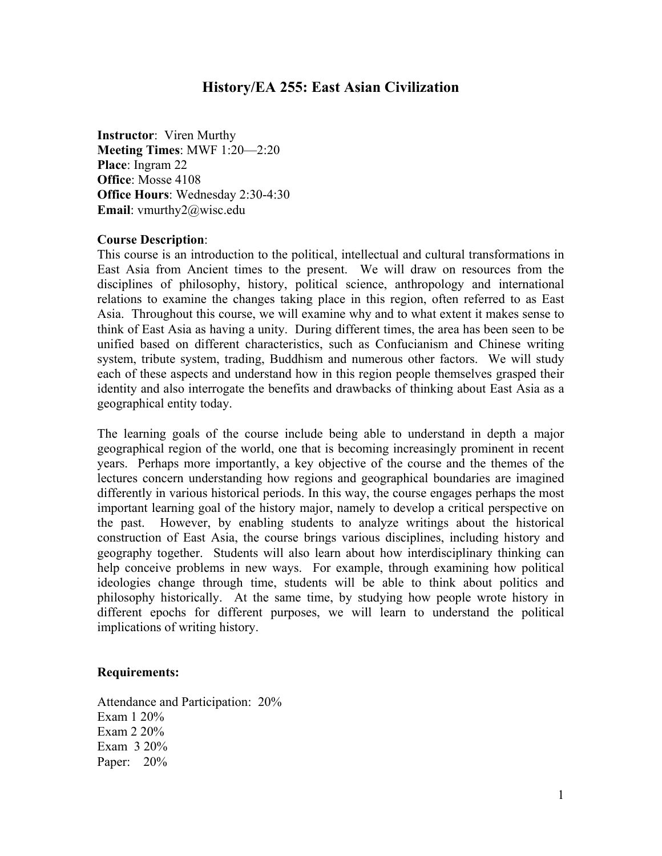# **History/EA 255: East Asian Civilization**

**Instructor**: Viren Murthy **Meeting Times**: MWF 1:20—2:20 **Place**: Ingram 22 **Office**: Mosse 4108 **Office Hours**: Wednesday 2:30-4:30 **Email**: vmurthy2@wisc.edu

### **Course Description**:

This course is an introduction to the political, intellectual and cultural transformations in East Asia from Ancient times to the present. We will draw on resources from the disciplines of philosophy, history, political science, anthropology and international relations to examine the changes taking place in this region, often referred to as East Asia. Throughout this course, we will examine why and to what extent it makes sense to think of East Asia as having a unity. During different times, the area has been seen to be unified based on different characteristics, such as Confucianism and Chinese writing system, tribute system, trading, Buddhism and numerous other factors. We will study each of these aspects and understand how in this region people themselves grasped their identity and also interrogate the benefits and drawbacks of thinking about East Asia as a geographical entity today.

The learning goals of the course include being able to understand in depth a major geographical region of the world, one that is becoming increasingly prominent in recent years. Perhaps more importantly, a key objective of the course and the themes of the lectures concern understanding how regions and geographical boundaries are imagined differently in various historical periods. In this way, the course engages perhaps the most important learning goal of the history major, namely to develop a critical perspective on the past. However, by enabling students to analyze writings about the historical construction of East Asia, the course brings various disciplines, including history and geography together. Students will also learn about how interdisciplinary thinking can help conceive problems in new ways. For example, through examining how political ideologies change through time, students will be able to think about politics and philosophy historically. At the same time, by studying how people wrote history in different epochs for different purposes, we will learn to understand the political implications of writing history.

## **Requirements:**

Attendance and Participation: 20% Exam 1 20% Exam 2 20% Exam 3 20% Paper: 20%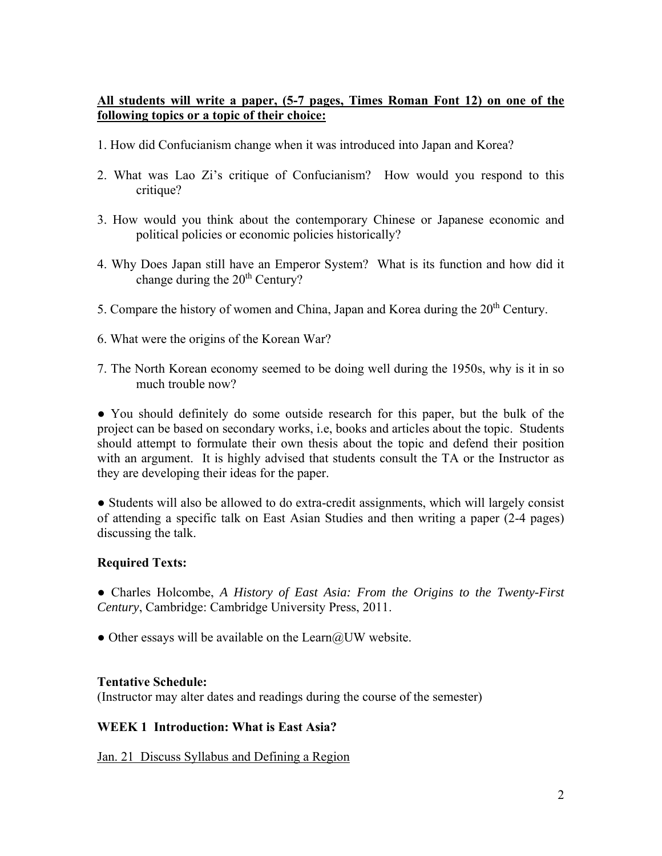# **All students will write a paper, (5-7 pages, Times Roman Font 12) on one of the following topics or a topic of their choice:**

- 1. How did Confucianism change when it was introduced into Japan and Korea?
- 2. What was Lao Zi's critique of Confucianism? How would you respond to this critique?
- 3. How would you think about the contemporary Chinese or Japanese economic and political policies or economic policies historically?
- 4. Why Does Japan still have an Emperor System? What is its function and how did it change during the  $20<sup>th</sup>$  Century?
- 5. Compare the history of women and China, Japan and Korea during the  $20<sup>th</sup>$  Century.
- 6. What were the origins of the Korean War?
- 7. The North Korean economy seemed to be doing well during the 1950s, why is it in so much trouble now?

● You should definitely do some outside research for this paper, but the bulk of the project can be based on secondary works, i.e, books and articles about the topic. Students should attempt to formulate their own thesis about the topic and defend their position with an argument. It is highly advised that students consult the TA or the Instructor as they are developing their ideas for the paper.

● Students will also be allowed to do extra-credit assignments, which will largely consist of attending a specific talk on East Asian Studies and then writing a paper (2-4 pages) discussing the talk.

## **Required Texts:**

● Charles Holcombe, *A History of East Asia: From the Origins to the Twenty-First Century*, Cambridge: Cambridge University Press, 2011.

• Other essays will be available on the Learn $@UW$  website.

## **Tentative Schedule:**

(Instructor may alter dates and readings during the course of the semester)

## **WEEK 1 Introduction: What is East Asia?**

Jan. 21 Discuss Syllabus and Defining a Region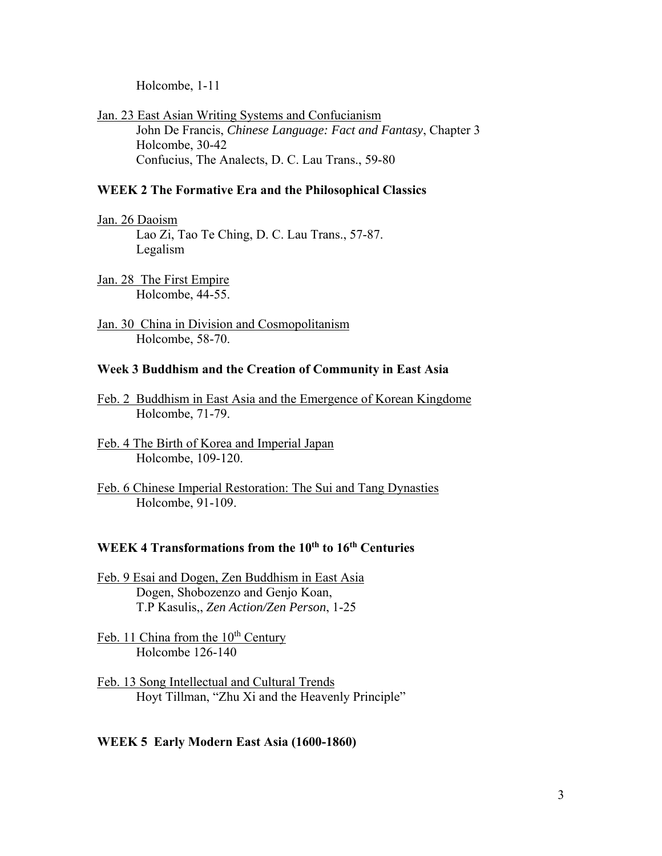Holcombe, 1-11

Jan. 23 East Asian Writing Systems and Confucianism John De Francis, *Chinese Language: Fact and Fantasy*, Chapter 3 Holcombe, 30-42 Confucius, The Analects, D. C. Lau Trans., 59-80

## **WEEK 2 The Formative Era and the Philosophical Classics**

Jan. 26 Daoism Lao Zi, Tao Te Ching, D. C. Lau Trans., 57-87. Legalism

Jan. 28 The First Empire Holcombe, 44-55.

Jan. 30 China in Division and Cosmopolitanism Holcombe, 58-70.

#### **Week 3 Buddhism and the Creation of Community in East Asia**

- Feb. 2 Buddhism in East Asia and the Emergence of Korean Kingdome Holcombe, 71-79.
- Feb. 4 The Birth of Korea and Imperial Japan Holcombe, 109-120.
- Feb. 6 Chinese Imperial Restoration: The Sui and Tang Dynasties Holcombe, 91-109.

# **WEEK 4 Transformations from the 10th to 16th Centuries**

- Feb. 9 Esai and Dogen, Zen Buddhism in East Asia Dogen, Shobozenzo and Genjo Koan, T.P Kasulis,, *Zen Action/Zen Person*, 1-25
- Feb. 11 China from the  $10<sup>th</sup>$  Century Holcombe 126-140
- Feb. 13 Song Intellectual and Cultural Trends Hoyt Tillman, "Zhu Xi and the Heavenly Principle"

#### **WEEK 5 Early Modern East Asia (1600-1860)**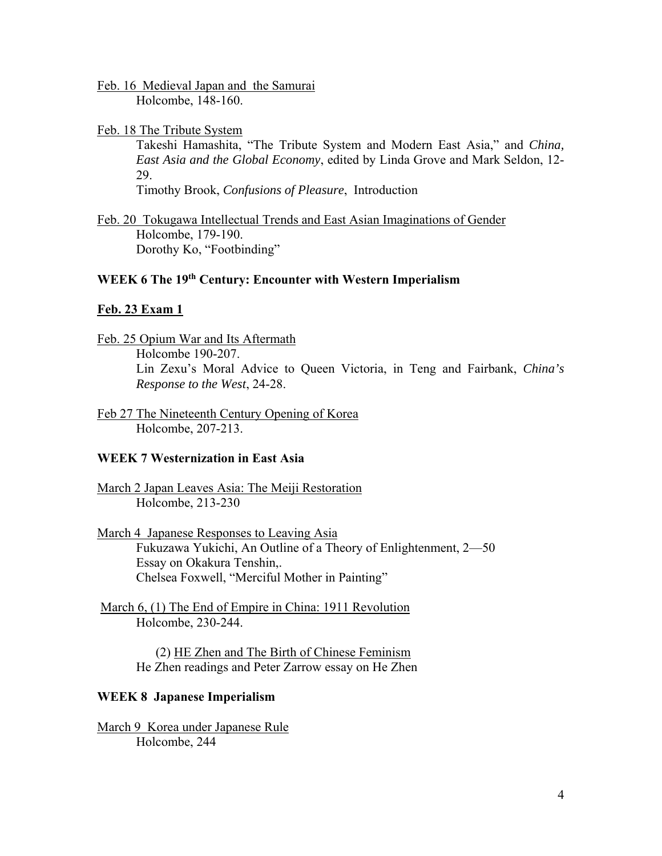Feb. 16 Medieval Japan and the Samurai Holcombe, 148-160.

Feb. 18 The Tribute System

 Takeshi Hamashita, "The Tribute System and Modern East Asia," and *China, East Asia and the Global Economy*, edited by Linda Grove and Mark Seldon, 12- 29.

Timothy Brook, *Confusions of Pleasure*, Introduction

Feb. 20 Tokugawa Intellectual Trends and East Asian Imaginations of Gender Holcombe, 179-190. Dorothy Ko, "Footbinding"

## **WEEK 6 The 19th Century: Encounter with Western Imperialism**

#### **Feb. 23 Exam 1**

- Feb. 25 Opium War and Its Aftermath Holcombe 190-207. Lin Zexu's Moral Advice to Queen Victoria, in Teng and Fairbank, *China's Response to the West*, 24-28.
- Feb 27 The Nineteenth Century Opening of Korea Holcombe, 207-213.

## **WEEK 7 Westernization in East Asia**

- March 2 Japan Leaves Asia: The Meiji Restoration Holcombe, 213-230
- March 4 Japanese Responses to Leaving Asia Fukuzawa Yukichi, An Outline of a Theory of Enlightenment, 2—50 Essay on Okakura Tenshin,. Chelsea Foxwell, "Merciful Mother in Painting"
- March 6, (1) The End of Empire in China: 1911 Revolution Holcombe, 230-244.

 (2) HE Zhen and The Birth of Chinese Feminism He Zhen readings and Peter Zarrow essay on He Zhen

#### **WEEK 8 Japanese Imperialism**

March 9 Korea under Japanese Rule Holcombe, 244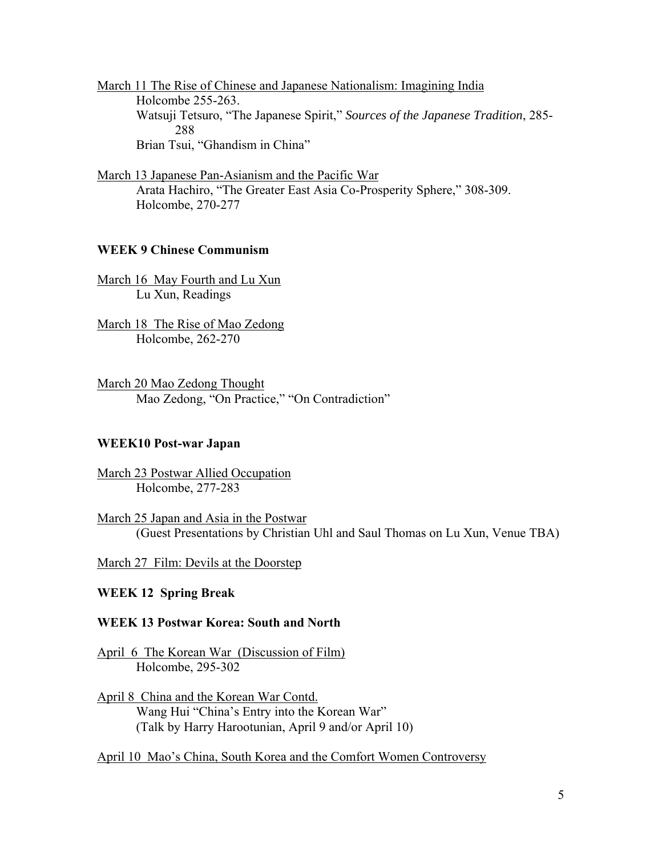March 11 The Rise of Chinese and Japanese Nationalism: Imagining India Holcombe 255-263. Watsuji Tetsuro, "The Japanese Spirit," *Sources of the Japanese Tradition*, 285- 288 Brian Tsui, "Ghandism in China"

March 13 Japanese Pan-Asianism and the Pacific War Arata Hachiro, "The Greater East Asia Co-Prosperity Sphere," 308-309. Holcombe, 270-277

## **WEEK 9 Chinese Communism**

March 16 May Fourth and Lu Xun Lu Xun, Readings

March 18 The Rise of Mao Zedong Holcombe, 262-270

March 20 Mao Zedong Thought Mao Zedong, "On Practice," "On Contradiction"

#### **WEEK10 Post-war Japan**

March 23 Postwar Allied Occupation Holcombe, 277-283

March 25 Japan and Asia in the Postwar (Guest Presentations by Christian Uhl and Saul Thomas on Lu Xun, Venue TBA)

March 27 Film: Devils at the Doorstep

## **WEEK 12 Spring Break**

#### **WEEK 13 Postwar Korea: South and North**

April 6 The Korean War (Discussion of Film) Holcombe, 295-302

April 8 China and the Korean War Contd. Wang Hui "China's Entry into the Korean War" (Talk by Harry Harootunian, April 9 and/or April 10)

April 10 Mao's China, South Korea and the Comfort Women Controversy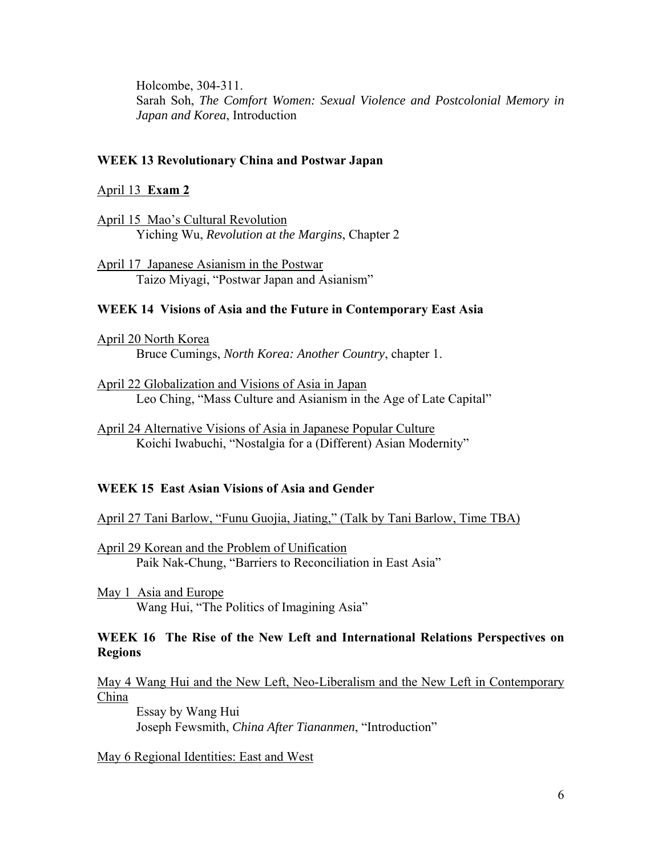Holcombe, 304-311. Sarah Soh, *The Comfort Women: Sexual Violence and Postcolonial Memory in Japan and Korea*, Introduction

#### **WEEK 13 Revolutionary China and Postwar Japan**

#### April 13 **Exam 2**

April 15 Mao's Cultural Revolution Yiching Wu, *Revolution at the Margins*, Chapter 2

April 17 Japanese Asianism in the Postwar Taizo Miyagi, "Postwar Japan and Asianism"

#### **WEEK 14 Visions of Asia and the Future in Contemporary East Asia**

April 20 North Korea Bruce Cumings, *North Korea: Another Country*, chapter 1.

April 22 Globalization and Visions of Asia in Japan Leo Ching, "Mass Culture and Asianism in the Age of Late Capital"

April 24 Alternative Visions of Asia in Japanese Popular Culture Koichi Iwabuchi, "Nostalgia for a (Different) Asian Modernity"

### **WEEK 15 East Asian Visions of Asia and Gender**

April 27 Tani Barlow, "Funu Guojia, Jiating," (Talk by Tani Barlow, Time TBA)

April 29 Korean and the Problem of Unification Paik Nak-Chung, "Barriers to Reconciliation in East Asia"

May 1 Asia and Europe Wang Hui, "The Politics of Imagining Asia"

### **WEEK 16 The Rise of the New Left and International Relations Perspectives on Regions**

May 4 Wang Hui and the New Left, Neo-Liberalism and the New Left in Contemporary China

 Essay by Wang Hui Joseph Fewsmith, *China After Tiananmen*, "Introduction"

May 6 Regional Identities: East and West